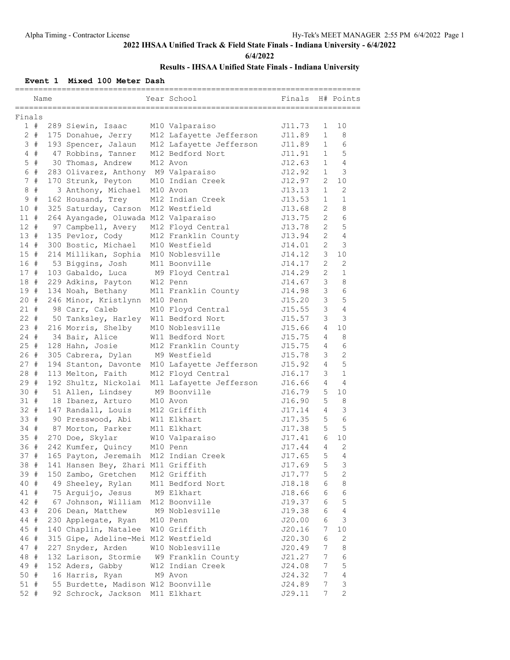**6/4/2022**

## **Results - IHSAA Unified State Finals - Indiana University**

#### **Event 1 Mixed 100 Meter Dash**

| Name                    |                                         | Year School             | Finals |                       | H# Points      |
|-------------------------|-----------------------------------------|-------------------------|--------|-----------------------|----------------|
|                         |                                         |                         |        |                       |                |
| Finals                  |                                         |                         |        |                       |                |
| 1#                      | 289 Siewin, Isaac                       | M10 Valparaiso          | J11.73 | 1                     | 10             |
| $2 +$                   | 175 Donahue, Jerry                      | M12 Lafayette Jefferson | J11.89 | $\mathbf{1}$          | 8              |
| 3#                      | 193 Spencer, Jalaun                     | M12 Lafayette Jefferson | J11.89 | $\mathbf{1}$          | 6              |
| #<br>4                  | 47 Robbins, Tanner                      | M12 Bedford Nort        | J11.91 | $\mathbf{1}$          | 5              |
| 5<br>#                  | 30 Thomas, Andrew                       | M12 Avon                | J12.63 | $\mathbf{1}$          | $\overline{4}$ |
| 6<br>#                  | 283 Olivarez, Anthony M9 Valparaiso     |                         | J12.92 | $\mathbf{1}$          | 3              |
| $\#$<br>$7\phantom{.0}$ | 170 Strunk, Peyton                      | M10 Indian Creek        | J12.97 | $\mathbf{2}^{\prime}$ | 10             |
| $\#$<br>8               | 3 Anthony, Michael                      | M10 Avon                | J13.13 | $\mathbf{1}$          | $\overline{2}$ |
| $\#$<br>9               | 162 Housand, Trey                       | M12 Indian Creek        | J13.53 | $\mathbf{1}$          | $\mathbf{1}$   |
| #<br>10                 | 325 Saturday, Carson                    | M12 Westfield           | J13.68 | $\overline{2}$        | 8              |
| 11#                     | 264 Ayangade, Oluwada M12 Valparaiso    |                         | J13.75 | $\overline{2}$        | 6              |
| #<br>12 <sup>7</sup>    | 97 Campbell, Avery                      | M12 Floyd Central       | J13.78 | $\overline{2}$        | 5              |
| 13#                     |                                         | M12 Franklin County     | J13.94 | 2                     | $\overline{4}$ |
| 14#                     | 135 Pevlor, Cody                        | M10 Westfield           |        | 2                     | 3              |
|                         | 300 Bostic, Michael                     |                         | J14.01 |                       |                |
| 15#                     | 214 Millikan, Sophia                    | M10 Noblesville         | J14.12 | 3                     | 10             |
| 16#                     | 53 Biggins, Josh                        | M11 Boonville           | J14.17 | $\mathbf{2}^{\prime}$ | 2              |
| 17#                     | 103 Gabaldo, Luca                       | M9 Floyd Central        | J14.29 | $\mathbf{2}^{\prime}$ | $\mathbf{1}$   |
| 18 #                    | 229 Adkins, Payton                      | W12 Penn                | J14.67 | 3                     | 8              |
| 19#                     | 134 Noah, Bethany                       | M11 Franklin County     | J14.98 | 3                     | 6              |
| 20#                     | 246 Minor, Kristlynn                    | M10 Penn                | J15.20 | 3                     | 5              |
| $21 +$                  | 98 Carr, Caleb                          | M10 Floyd Central       | J15.55 | 3                     | $\overline{4}$ |
| $22 +$                  | 50 Tanksley, Harley                     | W11 Bedford Nort        | J15.57 | 3                     | 3              |
| 23#                     | 216 Morris, Shelby                      | M10 Noblesville         | J15.66 | 4                     | 10             |
| $24 +$                  | 34 Bair, Alice                          | W11 Bedford Nort        | J15.75 | 4                     | 8              |
| 25#                     | 128 Hahn, Josie                         | M12 Franklin County     | J15.75 | 4                     | 6              |
| 26#                     | 305 Cabrera, Dylan                      | M9 Westfield            | J15.78 | 3                     | $\overline{2}$ |
| 27<br>#                 | 194 Stanton, Davonte                    | M10 Lafayette Jefferson | J15.92 | $\overline{4}$        | 5              |
| 28<br>#                 | 113 Melton, Faith                       | M12 Floyd Central       | J16.17 | 3                     | $\mathbf{1}$   |
| 29#                     | 192 Shultz, Nickolai                    | M11 Lafayette Jefferson | J16.66 | 4                     | 4              |
| #<br>30                 | 51 Allen, Lindsey                       | M9 Boonville            | J16.79 | 5                     | 10             |
| 31#                     | 18 Ibanez, Arturo                       | M10 Avon                | J16.90 | 5                     | 8              |
| $32 +$                  | 147 Randall, Louis                      | M12 Griffith            | J17.14 | 4                     | $\mathcal{S}$  |
| 33#                     | 90 Presswood, Abi                       | W11 Elkhart             | J17.35 | 5                     | 6              |
| 34#                     | 87 Morton, Parker                       | M11 Elkhart             | J17.38 | 5                     | 5              |
| 35#                     | 270 Doe, Skylar                         | W10 Valparaiso          | J17.41 | 6                     | 10             |
| 36 #                    | 242 Kumfer, Quincy                      | M10 Penn                | J17.44 | 4                     | 2              |
| #<br>37                 |                                         | M12 Indian Creek        |        | 5                     | $\overline{4}$ |
|                         | 165 Payton, Jeremaih                    |                         | J17.65 |                       |                |
| 38 #                    | 141 Hansen Bey, Zhari M11 Griffith      |                         | J17.69 | 5                     | 3              |
| 39#                     | 150 Zambo, Gretchen                     | M12 Griffith            | J17.77 | 5                     | $\mathbf{2}$   |
| 40 #                    | 49 Sheeley, Rylan                       | M11 Bedford Nort        | J18.18 | 6                     | 8              |
| 41 #                    | 75 Arguijo, Jesus                       | M9 Elkhart              | J18.66 | 6                     | $\epsilon$     |
| 42 #                    | 67 Johnson, William                     | M12 Boonville           | J19.37 | 6                     | 5              |
| 43 #                    | 206 Dean, Matthew                       | M9 Noblesville          | J19.38 | 6                     | $\overline{4}$ |
| 44 #                    | 230 Applegate, Ryan                     | M10 Penn                | J20.00 | 6                     | $\mathsf 3$    |
| 45#                     | 140 Chaplin, Natalee                    | W10 Griffith            | J20.16 | 7                     | 10             |
| 46 #                    | 315 Gipe, Adeline-Mei M12 Westfield     |                         | J20.30 | 6                     | 2              |
| 47 #                    | 227 Snyder, Arden                       | W10 Noblesville         | J20.49 | 7                     | 8              |
| 48 #                    | 132 Larison, Stormie W9 Franklin County |                         | J21.27 | 7                     | 6              |
| 49 #                    | 152 Aders, Gabby                        | W12 Indian Creek        | J24.08 | 7                     | 5              |
| 50 #                    | 16 Harris, Ryan                         | M9 Avon                 | J24.32 | 7                     | $\overline{4}$ |
| $51$ #                  | 55 Burdette, Madison W12 Boonville      |                         | J24.89 | 7                     | $\mathsf 3$    |
| $52 +$                  | 92 Schrock, Jackson M11 Elkhart         |                         | J29.11 | 7                     | $\mathbf{2}$   |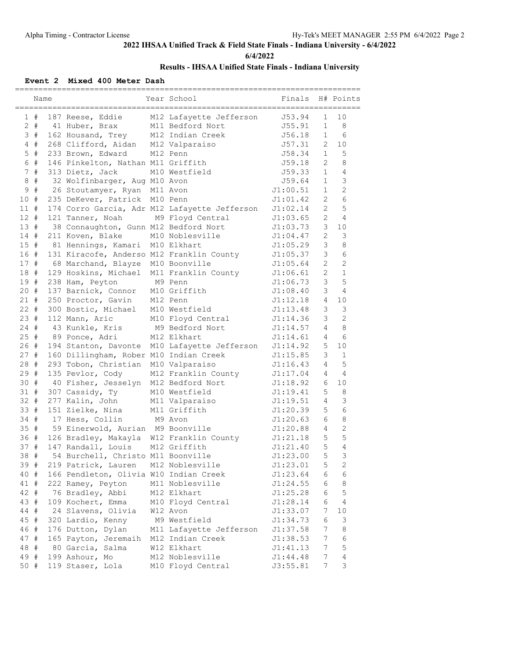**6/4/2022**

## **Results - IHSAA Unified State Finals - Indiana University**

#### **Event 2 Mixed 400 Meter Dash**

|        | Name  |                                           | Year School                                   | Finals   |                | H# Points       |
|--------|-------|-------------------------------------------|-----------------------------------------------|----------|----------------|-----------------|
|        | 1#    | 187 Reese, Eddie                          | M12 Lafayette Jefferson                       | J53.94   | $\mathbf{1}$   | 10              |
|        | $2 +$ | 41 Huber, Brax                            | M11 Bedford Nort                              | J55.91   | $\mathbf{1}$   | 8               |
|        | 3#    | 162 Housand, Trey                         | M12 Indian Creek                              | J56.18   | $\mathbf{1}$   | 6               |
|        | $4$ # | 268 Clifford, Aidan M12 Valparaiso        |                                               | J57.31   | $\overline{2}$ | 10              |
|        | $5$ # | 233 Brown, Edward                         | M12 Penn                                      | J58.34   | $\mathbf{1}$   | 5               |
|        | 6 #   | 146 Pinkelton, Nathan M11 Griffith        |                                               | J59.18   | $\overline{2}$ | 8               |
|        | 7#    | 313 Dietz, Jack                           | M10 Westfield                                 | J59.33   | $\mathbf{1}$   | $\overline{4}$  |
| 8      | #     | 32 Wolfinbarger, Aug M10 Avon             |                                               | J59.64   | $\mathbf{1}$   | 3               |
| 9      | $\#$  | 26 Stoutamyer, Ryan M11 Avon              |                                               | J1:00.51 | $\mathbf{1}$   | $\overline{2}$  |
| 10     | #     | 235 DeKever, Patrick M10 Penn             |                                               | J1:01.42 | $\overline{2}$ | 6               |
| $11$ # |       |                                           | 174 Corro Garcia, Adr M12 Lafayette Jefferson | J1:02.14 | $\overline{2}$ | 5               |
| $12 +$ |       | 121 Tanner, Noah                          | M9 Floyd Central                              | J1:03.65 | 2              | $\overline{4}$  |
| 13#    |       | 38 Connaughton, Gunn M12 Bedford Nort     |                                               | J1:03.73 | $\mathcal{E}$  | 10              |
| 14 #   |       | 211 Koven, Blake                          | M10 Noblesville                               | J1:04.47 | 2              | 3               |
| 15#    |       | 81 Hennings, Kamari M10 Elkhart           |                                               | J1:05.29 | 3              | 8               |
| 16#    |       | 131 Kiracofe, Anderso M12 Franklin County |                                               | J1:05.37 | $\mathcal{E}$  | 6               |
| 17#    |       | 68 Marchand, Blayze M10 Boonville         |                                               | J1:05.64 | $\overline{2}$ | $\overline{2}$  |
| 18#    |       | 129 Hoskins, Michael M11 Franklin County  |                                               | J1:06.61 | 2              | $\mathbf{1}$    |
| 19#    |       | 238 Ham, Peyton                           | M9 Penn                                       | J1:06.73 | 3              | 5               |
| 20#    |       | 137 Barnick, Connor                       | M10 Griffith                                  | J1:08.40 | 3              | $\overline{4}$  |
| 21#    |       | 250 Proctor, Gavin                        | M12 Penn                                      | J1:12.18 | 4              | 10              |
| $22 +$ |       | 300 Bostic, Michael M10 Westfield         |                                               | J1:13.48 | 3              | $\mathfrak{Z}$  |
| 23#    |       | 112 Mann, Aric                            | M10 Floyd Central                             | J1:14.36 | 3              | $\overline{2}$  |
| 24#    |       | 43 Kunkle, Kris                           | M9 Bedford Nort                               | J1:14.57 | $\overline{4}$ | 8               |
| 25#    |       | 89 Ponce, Adri                            | M12 Elkhart                                   | J1:14.61 | 4              | $6\overline{6}$ |
| 26#    |       |                                           | 194 Stanton, Davonte M10 Lafayette Jefferson  | J1:14.92 | 5              | 10              |
| 27#    |       | 160 Dillingham, Rober M10 Indian Creek    |                                               | J1:15.85 | 3              | $\mathbf{1}$    |
| 28 #   |       | 293 Tobon, Christian M10 Valparaiso       |                                               | J1:16.43 | 4              | 5               |
| 29#    |       | 135 Pevlor, Cody                          | M12 Franklin County                           | J1:17.04 | 4              | 4               |
| 30#    |       | 40 Fisher, Jesselyn M12 Bedford Nort      |                                               | J1:18.92 | 6              | 10              |
| 31#    |       | 307 Cassidy, Ty                           | M10 Westfield                                 | J1:19.41 | 5              | 8               |
| $32 +$ |       | 277 Kalin, John                           | M11 Valparaiso                                | J1:19.51 | 4              | 3               |
| 33 #   |       | 151 Zielke, Nina                          | M11 Griffith                                  | J1:20.39 | 5              | 6               |
| $34 +$ |       | 17 Hess, Collin                           | M9 Avon                                       | J1:20.63 | 6              | 8               |
| 35#    |       | 59 Einerwold, Aurian M9 Boonville         |                                               | J1:20.88 | 4              | $\mathbf{2}$    |
| 36#    |       | 126 Bradley, Makayla W12 Franklin County  |                                               | J1:21.18 | 5              | 5               |
| 37#    |       | 147 Randall, Louis                        | M12 Griffith                                  | J1:21.40 | 5              | $\overline{4}$  |
| 38     | #     | 54 Burchell, Christo M11 Boonville        |                                               | J1:23.00 | 5              | 3               |
| 39 #   |       | 219 Patrick, Lauren                       | M12 Noblesville                               | J1:23.01 | 5              | 2               |
| 40 #   |       | 166 Pendleton, Olivia W10 Indian Creek    |                                               | J1:23.64 | 6              | 6               |
| 41 #   |       | 222 Ramey, Peyton                         | M11 Noblesville                               | J1:24.55 | 6              | 8               |
| 42 #   |       | 76 Bradley, Abbi                          | M12 Elkhart                                   | J1:25.28 | 6              | 5               |
| 43 #   |       | 109 Kochert, Emma                         | M10 Floyd Central                             | J1:28.14 | 6              | 4               |
| 44 #   |       | 24 Slavens, Olivia                        | W12 Avon                                      | J1:33.07 | 7              | 10              |
| 45 #   |       | 320 Lardio, Kenny                         | M9 Westfield                                  | J1:34.73 | 6              | $\mathsf 3$     |
| 46 #   |       | 176 Dutton, Dylan                         | M11 Lafayette Jefferson                       | J1:37.58 | 7              | 8               |
| 47 #   |       | 165 Payton, Jeremaih                      | M12 Indian Creek                              | J1:38.53 | 7              | 6               |
| 48     | #     | 80 Garcia, Salma                          | W12 Elkhart                                   | J1:41.13 | 7              | 5               |
| 49     | #     | 199 Ashour, Mo                            | M12 Noblesville                               | J1:44.48 | 7              | $\overline{4}$  |
| 50 #   |       | 119 Staser, Lola                          | M10 Floyd Central                             | J3:55.81 | 7              | 3               |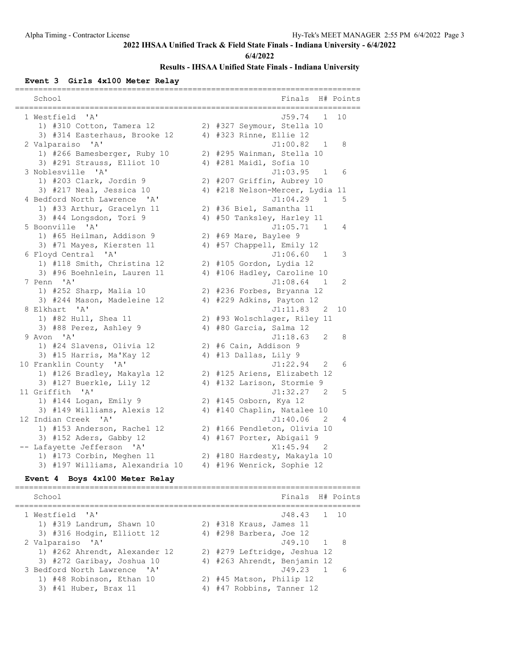**6/4/2022**

#### **Results - IHSAA Unified State Finals - Indiana University**

#### **Event 3 Girls 4x100 Meter Relay**

| School                                       | Finals<br>H# Points             |
|----------------------------------------------|---------------------------------|
| 1 Westfield 'A'                              | J59.74<br>10<br>1               |
| 1) #310 Cotton, Tamera 12                    | 2) #327 Seymour, Stella 10      |
| 3) #314 Easterhaus, Brooke 12                | 4) #323 Rinne, Ellie 12         |
| 2 Valparaiso 'A'                             | J1:00.82 1<br>8                 |
| 1) #266 Bamesberger, Ruby 10                 | 2) #295 Wainman, Stella 10      |
| 3) #291 Strauss, Elliot 10                   | 4) #281 Maidl, Sofia 10         |
| 3 Noblesville 'A'                            | J1:03.95<br>$\overline{1}$<br>6 |
| 1) #203 Clark, Jordin 9                      | 2) #207 Griffin, Aubrey 10      |
| 3) #217 Neal, Jessica 10                     | 4) #218 Nelson-Mercer, Lydia 11 |
| 4 Bedford North Lawrence 'A'                 | J1:04.29 1<br>5                 |
| 1) #33 Arthur, Gracelyn 11                   | 2) #36 Biel, Samantha 11        |
| 3) #44 Longsdon, Tori 9                      | 4) #50 Tanksley, Harley 11      |
| 5 Boonville 'A'                              | J1:05.71 1<br>4                 |
| 1) #65 Heilman, Addison 9                    | 2) #69 Mare, Baylee 9           |
| 3) #71 Mayes, Kiersten 11                    | 4) #57 Chappell, Emily 12       |
| 6 Floyd Central 'A'                          | J1:06.60<br>$\overline{1}$<br>3 |
| 1) #118 Smith, Christina 12                  | 2) #105 Gordon, Lydia 12        |
| 3) #96 Boehnlein, Lauren 11                  | 4) #106 Hadley, Caroline 10     |
| 7 Penn 'A'                                   | J1:08.64 1<br>2                 |
| 1) #252 Sharp, Malia 10                      | 2) #236 Forbes, Bryanna 12      |
| 3) #244 Mason, Madeleine 12                  | 4) #229 Adkins, Payton 12       |
| 8 Elkhart 'A'                                | J1:11.83<br>2<br>10             |
| 1) #82 Hull, Shea 11                         | 2) #93 Wolschlager, Riley 11    |
| 3) #88 Perez, Ashley 9                       | 4) #80 Garcia, Salma 12         |
| 9 Avon 'A'                                   | J1:18.63<br>2<br>8              |
| 1) #24 Slavens, Olivia 12                    | 2) #6 Cain, Addison 9           |
| 3) #15 Harris, Ma'Kay 12                     | 4) #13 Dallas, Lily 9           |
| 10 Franklin County 'A'                       | J1:22.94<br>$\overline{2}$<br>6 |
| 1) #126 Bradley, Makayla 12                  | 2) #125 Ariens, Elizabeth 12    |
| 3) #127 Buerkle, Lily 12                     | 4) #132 Larison, Stormie 9      |
| 11 Griffith 'A'                              | J1:32.27<br>5<br>2              |
| 1) #144 Logan, Emily 9                       | 2) #145 Osborn, Kya 12          |
| 3) #149 Williams, Alexis 12                  | 4) #140 Chaplin, Natalee 10     |
| 12 Indian Creek<br>$^{\prime}$ A $^{\prime}$ | J1:40.06 2<br>4                 |
| 1) #153 Anderson, Rachel 12                  | 2) #166 Pendleton, Olivia 10    |
| 3) #152 Aders, Gabby 12                      | 4) #167 Porter, Abigail 9       |
| -- Lafayette Jefferson 'A'                   | X1:45.94<br>2                   |
| 1) #173 Corbin, Meghen 11                    | 2) #180 Hardesty, Makayla 10    |
| 3) #197 Williams, Alexandria 10              | 4) #196 Wenrick, Sophie 12      |
| Event 4 Boys 4x100 Meter Relay               |                                 |

========================================================================== School Finals H# Points ========================================================================== 1 Westfield 'A' J48.43 1 10 1) #319 Landrum, Shawn 10 2) #318 Kraus, James 11 3) #316 Hodgin, Elliott 12 4) #298 Barbera, Joe 12 2 Valparaiso 'A' J49.10 1 8 1) #262 Ahrendt, Alexander 12 2) #279 Leftridge, Jeshua 12 3) #272 Garibay, Joshua 10 4) #263 Ahrendt, Benjamin 12 3 Bedford North Lawrence 'A' J49.23 1 6 1) #48 Robinson, Ethan 10 2) #45 Matson, Philip 12 3) #41 Huber, Brax 11 4) #47 Robbins, Tanner 12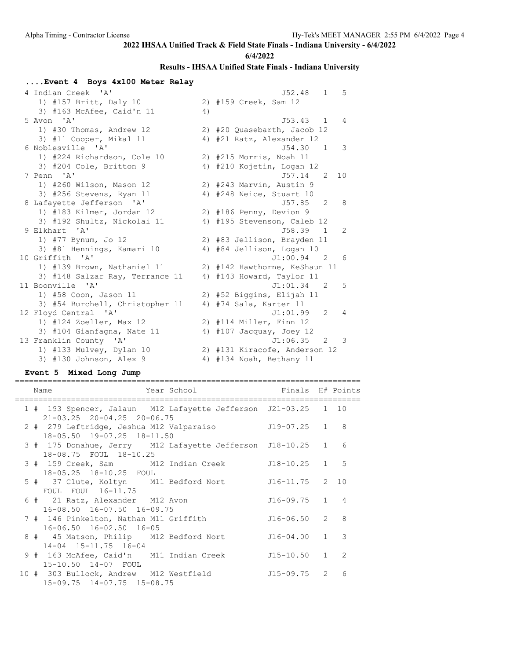**6/4/2022**

## **Results - IHSAA Unified State Finals - Indiana University**

## **....Event 4 Boys 4x100 Meter Relay**

| 4 Indian Creek 'A'              |    | J52.48<br>.5<br>$\mathbf{1}$                |
|---------------------------------|----|---------------------------------------------|
| 1) #157 Britt, Daly 10          |    | 2) #159 Creek, Sam 12                       |
| 3) #163 McAfee, Caid'n 11       | 4) |                                             |
| 5 Avon 'A'                      |    | J53.43<br>1<br>$\overline{4}$               |
| 1) #30 Thomas, Andrew 12        |    | 2) #20 Quasebarth, Jacob 12                 |
| 3) #11 Cooper, Mikal 11         |    | 4) #21 Ratz, Alexander 12                   |
| 6 Noblesville 'A'               |    | 3<br>J54.30 1                               |
| 1) #224 Richardson, Cole 10     |    | 2) #215 Morris, Noah 11                     |
| 3) #204 Cole, Britton 9         |    | 4) #210 Kojetin, Logan 12                   |
| 7 Penn 'A'                      |    | J57.14<br>10 <sup>°</sup><br>$\overline{2}$ |
| 1) #260 Wilson, Mason 12        |    | 2) #243 Marvin, Austin 9                    |
| 3) #256 Stevens, Ryan 11        |    | 4) #248 Neice, Stuart 10                    |
| 8 Lafayette Jefferson 'A'       |    | J57.85 2<br>8                               |
| 1) #183 Kilmer, Jordan 12       |    | 2) #186 Penny, Devion 9                     |
| 3) #192 Shultz, Nickolai 11     |    | 4) #195 Stevenson, Caleb 12                 |
| 9 Elkhart 'A'                   |    | J58.39 1<br>2                               |
| 1) #77 Bynum, Jo 12             |    | 2) #83 Jellison, Brayden 11                 |
| 3) #81 Hennings, Kamari 10      |    | 4) #84 Jellison, Logan 10                   |
| 10 Griffith 'A'                 |    | J1:00.94 2<br>- 6                           |
| 1) #139 Brown, Nathaniel 11     |    | 2) #142 Hawthorne, KeShaun 11               |
| 3) #148 Salzar Ray, Terrance 11 |    | 4) #143 Howard, Taylor 11                   |
| 11 Boonville 'A'                |    | J1:01.34 2<br>5                             |
| 1) #58 Coon, Jason 11           |    | 2) #52 Biggins, Elijah 11                   |
| 3) #54 Burchell, Christopher 11 |    | 4) #74 Sala, Karter 11                      |
| 12 Floyd Central 'A'            |    | J1:01.99<br>2<br>4                          |
| 1) #124 Zoeller, Max 12         |    | 2) #114 Miller, Finn 12                     |
| 3) #104 Gianfagna, Nate 11      |    | 4) $#107$ Jacquay, Joey 12                  |
| 13 Franklin County 'A'          |    | J1:06.35 2<br>3                             |
| 1) #133 Mulvey, Dylan 10        |    | 2) #131 Kiracofe, Anderson 12               |
| 3) #130 Johnson, Alex 9         |    | 4) #134 Noah, Bethany 11                    |

#### **Event 5 Mixed Long Jump**

| Year School<br>Name                                                                                | Finals H# Points |               |
|----------------------------------------------------------------------------------------------------|------------------|---------------|
| 1 # 193 Spencer, Jalaun M12 Lafayette Jefferson J21-03.25 1 10                                     |                  |               |
| $21 - 03.25$ $20 - 04.25$ $20 - 06.75$<br>2 # 279 Leftridge, Jeshua M12 Valparaiso $J19-07.25$ 1 8 |                  |               |
| 18-05.50 19-07.25 18-11.50<br>3 # 175 Donahue, Jerry M12 Lafayette Jefferson J18-10.25 1 6         |                  |               |
| 18-08.75 FOUL 18-10.25<br>3 # 159 Creek, Sam M12 Indian Creek J18-10.25 1 5                        |                  |               |
| 18-05.25 18-10.25 FOUL<br>5 # 37 Clute, Koltyn M11 Bedford Nort<br>FOUL FOUL 16-11.75              | J16-11.75 2 10   |               |
| 6 # 21 Ratz, Alexander M12 Avon<br>16-08.50 16-07.50 16-09.75                                      | $J16-09.75$ 1 4  |               |
| 7 # 146 Pinkelton, Nathan M11 Griffith<br>16-06.50 16-02.50 16-05                                  | J16-06.50 2      | $\mathcal{B}$ |
| 8 # 45 Matson, Philip M12 Bedford Nort<br>$14-04$ $15-11.75$ $16-04$                               | $J16-04.00$ 1 3  |               |
| 9 # 163 McAfee, Caid'n M11 Indian Creek<br>15-10.50 14-07 FOUL                                     | $J15-10.50$ 1 2  |               |
| 10 # 303 Bullock, Andrew M12 Westfield<br>$15-09.75$ $14-07.75$ $15-08.75$                         | J15-09.75 2      | 6             |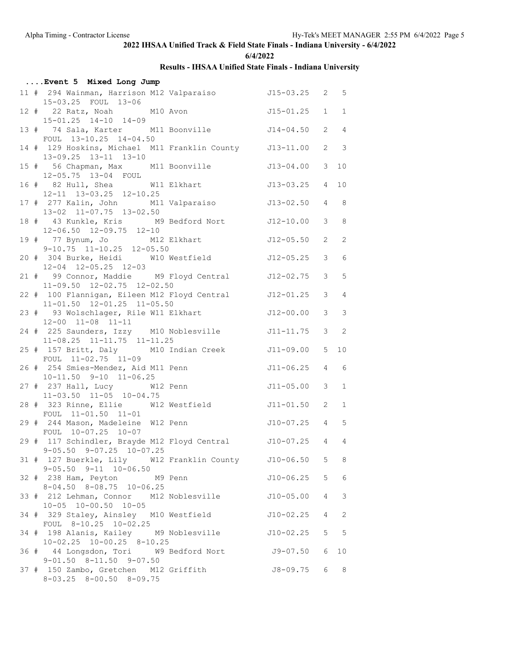**6/4/2022**

| Event 5 Mixed Long Jump                                                                            |                   |                 |                            |
|----------------------------------------------------------------------------------------------------|-------------------|-----------------|----------------------------|
| 11 # 294 Wainman, Harrison M12 Valparaiso 515-03.25 2 5<br>15-03.25 FOUL 13-06                     |                   |                 |                            |
| 12 # 22 Ratz, Noah M10 Avon<br>15-01.25 14-10 14-09                                                | $J15 - 01.25$ 1 1 |                 |                            |
| 13 # 74 Sala, Karter M11 Boonville 514-04.50<br>FOUL 13-10.25 14-04.50                             |                   | 2               | $\overline{4}$             |
| 14 # 129 Hoskins, Michael M11 Franklin County J13-11.00<br>13-09.25 13-11 13-10                    |                   | 2               | $\overline{\phantom{a}}$   |
| 15 # 56 Chapman, Max M11 Boonville<br>12-05.75 13-04 FOUL                                          | J13-04.00         | $\mathcal{S}$   | 10                         |
| 16 # 82 Hull, Shea W11 Elkhart<br>12-11 13-03.25 12-10.25                                          | $J13-03.25$ 4     |                 | 10                         |
| 17 # 277 Kalin, John M11 Valparaiso<br>13-02 11-07.75 13-02.50                                     | $J13-02.50$ 4     |                 | 8                          |
| 18 # 43 Kunkle, Kris M9 Bedford Nort J12-10.00                                                     |                   |                 | $3 \t 8$                   |
| 12-06.50 12-09.75 12-10<br>19 # 77 Bynum, Jo M12 Elkhart<br>$9-10.75$ $11-10.25$ $12-05.50$        | $J12 - 05.50$     | 2               | 2                          |
| 20 # 304 Burke, Heidi W10 Westfield<br>$12-04$ $12-05.25$ $12-03$                                  | $J12 - 05.25$     | $\mathcal{S}$   | $6\overline{6}$            |
| 21 # 99 Connor, Maddie M9 Floyd Central 512-02.75<br>11-09.50 12-02.75 12-02.50                    |                   | $\mathcal{S}$   | 5                          |
| 22 # 100 Flannigan, Eileen M12 Floyd Central<br>11-01.50 12-01.25 11-05.50                         | J12-01.25         | $\mathcal{E}$   | $\overline{4}$             |
| 23 # 93 Wolschlager, Rile W11 Elkhart<br>12-00 11-08 11-11                                         | J12-00.00         | $\mathcal{S}$   | $\mathcal{S}$              |
| 24 # 225 Saunders, Izzy M10 Noblesville 511-11.75<br>$11-08.25$ $11-11.75$ $11-11.25$              |                   | $\mathcal{S}$   | $\overline{\phantom{0}}^2$ |
| 25 # 157 Britt, Daly M10 Indian Creek<br>FOUL 11-02.75 11-09                                       | $J11-09.00$ 5     |                 | 10                         |
| 26 # 254 Smies-Mendez, Aid M11 Penn<br>$10-11.50$ $9-10$ $11-06.25$                                | $J11-06.25$ 4     |                 | 6                          |
| 27 # 237 Hall, Lucy W12 Penn<br>11-03.50 11-05 10-04.75                                            | $J11 - 05.00$     | $\mathcal{S}$   | $\mathbf 1$                |
| 28 # 323 Rinne, Ellie W12 Westfield<br>FOUL 11-01.50 11-01                                         | $J11 - 01.50$ 2   |                 | $\mathbf{1}$               |
| 29 # 244 Mason, Madeleine W12 Penn<br>FOUL 10-07.25 10-07                                          | $J10-07.25$ 4 5   |                 |                            |
| 29 # 117 Schindler, Brayde M12 Floyd Central 510-07.25 4 4<br>$9 - 05.50$ $9 - 07.25$ $10 - 07.25$ |                   |                 |                            |
| 31 # 127 Buerkle, Lily W12 Franklin County J10-06.50 5 8<br>$9 - 05.50$ $9 - 11$ $10 - 06.50$      |                   |                 |                            |
| 32 # 238 Ham, Peyton M9 Penn<br>$8-04.50$ $8-08.75$ $10-06.25$                                     | J10-06.25         | 5               | $6\overline{6}$            |
| 33 # 212 Lehman, Connor M12 Noblesville<br>$10-05$ $10-00.50$ $10-05$                              | $J10-05.00$       | $4\overline{ }$ | $\mathcal{S}$              |
| 34 # 329 Staley, Ainsley M10 Westfield<br>FOUL 8-10.25 10-02.25                                    | $J10-02.25$       | $\overline{4}$  | 2                          |
| 34 # 198 Alanis, Kailey M9 Noblesville<br>$10-02.25$ $10-00.25$ $8-10.25$                          | J10-02.25         | 5               | $-5$                       |
| 36 # 44 Longsdon, Tori W9 Bedford Nort 59-07.50<br>$9-01.50$ $8-11.50$ $9-07.50$                   |                   | 6               | 10                         |
| 37 # 150 Zambo, Gretchen M12 Griffith<br>$8-03.25$ $8-00.50$ $8-09.75$                             | J8-09.75          | 6               | 8 <sup>8</sup>             |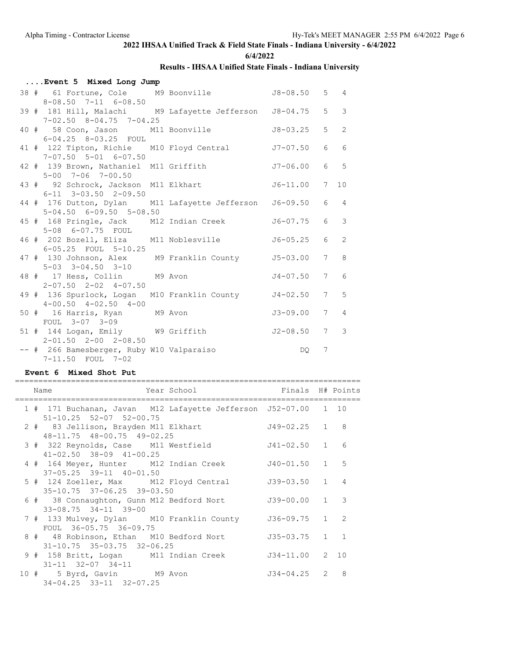**6/4/2022**

#### **Results - IHSAA Unified State Finals - Indiana University**

| Event 5 Mixed Long Jump                                                                      |              |            |                |
|----------------------------------------------------------------------------------------------|--------------|------------|----------------|
| 38 # 61 Fortune, Cole M9 Boonville 58-08.50 5 4<br>$8 - 08.50$ $7 - 11$ $6 - 08.50$          |              |            |                |
| 39 # 181 Hill, Malachi M9 Lafayette Jefferson J8-04.75 5 3<br>$7-02.50$ $8-04.75$ $7-04.25$  |              |            |                |
| 40 # 58 Coon, Jason M11 Boonville 38-03.25 5<br>$6 - 04.25$ $8 - 03.25$ FOUL                 |              |            | $\overline{2}$ |
| 41 # 122 Tipton, Richie M10 Floyd Central 57-07.50 6 6<br>$7-07.50$ $5-01$ $6-07.50$         |              |            |                |
| 42 # 139 Brown, Nathaniel M11 Griffith 57-06.00 6 5<br>5-00 7-06 7-00.50                     |              |            |                |
| 43 # 92 Schrock, Jackson M11 Elkhart 56-11.00 7<br>$6-11$ $3-03.50$ $2-09.50$                |              |            | 10             |
| 44 # 176 Dutton, Dylan M11 Lafayette Jefferson J6-09.50 6 4<br>$5-04.50$ $6-09.50$ $5-08.50$ |              |            |                |
| 45 # 168 Pringle, Jack M12 Indian Creek<br>5-08 6-07.75 FOUL                                 |              | J6-07.75 6 | $\mathbf{3}$   |
| 46 # 202 Bozell, Eliza M11 Noblesville 56-05.25 6<br>6-05.25 FOUL 5-10.25                    |              |            | 2              |
| 47 # 130 Johnson, Alex M9 Franklin County 55-03.00 7 8<br>5-03 3-04.50 3-10                  |              |            |                |
| 48 # 17 Hess, Collin M9 Avon<br>$2-07.50$ $2-02$ $4-07.50$                                   | $J4-07.50$ 7 |            | 6              |
| 49 # 136 Spurlock, Logan M10 Franklin County J4-02.50 7 5<br>$4-00.50$ $4-02.50$ $4-00$      |              |            |                |
| 50 # 16 Harris, Ryan M9 Avon<br>FOUL 3-07 3-09                                               | $J3-09.00$ 7 |            | $\overline{4}$ |
| 51 # 144 Logan, Emily W9 Griffith<br>$2 - 01.50$ $2 - 00$ $2 - 08.50$                        | $J2-08.50$ 7 |            | 3              |
| -- # 266 Bamesberger, Ruby W10 Valparaiso<br>7-11.50 FOUL 7-02                               |              | DO 7       |                |

#### **Event 6 Mixed Shot Put**

|  | Year School Finals H# Points<br>Name                                                                        |                 |   |
|--|-------------------------------------------------------------------------------------------------------------|-----------------|---|
|  | 1 # 171 Buchanan, Javan M12 Lafayette Jefferson J52-07.00 1 10                                              |                 |   |
|  | $51 - 10.25$ $52 - 07$ $52 - 00.75$<br>2 # 83 Jellison, Brayden M11 Elkhart                                 | J49-02.25 1 8   |   |
|  | 48-11.75 48-00.75 49-02.25<br>3 # 322 Reynolds, Case M11 Westfield                                          | J41-02.50 1 6   |   |
|  | $41 - 02.50$ $38 - 09$ $41 - 00.25$<br>4 # 164 Meyer, Hunter M12 Indian Creek J40-01.50 1 5                 |                 |   |
|  | $37 - 05.25$ $39 - 11$ $40 - 01.50$<br>5 # 124 Zoeller, Max M12 Floyd Central                               | $J39-03.50$ 1 4 |   |
|  | $35 - 10.75$ $37 - 06.25$ $39 - 03.50$<br>6 # 38 Connaughton, Gunn M12 Bedford Nort                         | J39-00.00 1 3   |   |
|  | $33 - 08.75$ $34 - 11$ $39 - 00$<br>7 # 133 Mulvey, Dylan M10 Franklin County 536-09.75 1 2                 |                 |   |
|  | FOUL 36-05.75 36-09.75<br>8 # 48 Robinson, Ethan M10 Bedford Nort<br>$31 - 10.75$ $35 - 03.75$ $32 - 06.25$ | $J35-03.75$ 1 1 |   |
|  | 9 # 158 Britt, Logan M11 Indian Creek J34-11.00 2 10<br>$31 - 11$ $32 - 07$ $34 - 11$                       |                 |   |
|  | 10 # 5 Byrd, Gavin M9 Avon<br>34-04.25 33-11 32-07.25                                                       | $J34-04.25$ 2   | 8 |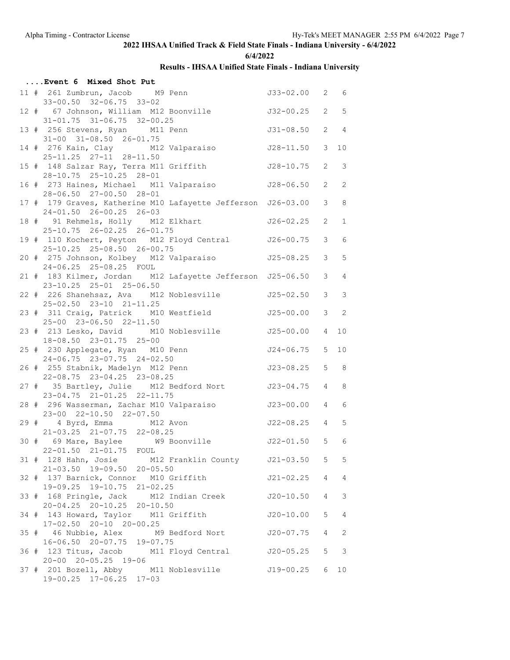**6/4/2022**

|  | Event 6 Mixed Shot Put                                                                               |                 |                 |                            |
|--|------------------------------------------------------------------------------------------------------|-----------------|-----------------|----------------------------|
|  | 11 # 261 Zumbrun, Jacob M9 Penn<br>$33-00.50$ $32-06.75$ $33-02$                                     | J33-02.00 2 6   |                 |                            |
|  | 12 # 67 Johnson, William M12 Boonville<br>$31 - 01.75$ $31 - 06.75$ $32 - 00.25$                     | $J32-00.25$ 2 5 |                 |                            |
|  | 13 # 256 Stevens, Ryan M11 Penn<br>31-00 31-08.50 26-01.75                                           | $J31 - 08.50$   | 2               | $\overline{4}$             |
|  | 14 # 276 Kain, Clay M12 Valparaiso<br>25-11.25 27-11 28-11.50                                        | J28-11.50       | $\mathcal{S}$   | 10                         |
|  | 15 # 148 Salzar Ray, Terra M11 Griffith<br>28-10.75 25-10.25 28-01                                   | J28-10.75       | $\mathbf{2}$    | $\overline{\phantom{a}}$   |
|  | 16 # 273 Haines, Michael M11 Valparaiso<br>28-06.50 27-00.50 28-01                                   | J28-06.50       | $\mathbf{2}$    | 2                          |
|  | 17 # 179 Graves, Katherine M10 Lafayette Jefferson J26-03.00<br>24-01.50 26-00.25 26-03              |                 | 3               | 8                          |
|  | 18 # 91 Rehmels, Holly M12 Elkhart<br>25-10.75 26-02.25 26-01.75                                     | J26-02.25       | $\mathbf{2}$    | $\mathbf{1}$               |
|  | 19 # 110 Kochert, Peyton M12 Floyd Central J26-00.75<br>25-10.25 25-08.50 26-00.75                   |                 | $\mathcal{S}$   | 6                          |
|  | 20 # 275 Johnson, Kolbey M12 Valparaiso<br>24-06.25 25-08.25 FOUL                                    | J25-08.25       | 3               | 5                          |
|  | 21 # 183 Kilmer, Jordan M12 Lafayette Jefferson J25-06.50<br>23-10.25 25-01 25-06.50                 |                 | $\mathcal{E}$   | $\overline{4}$             |
|  | 22 # 226 Shanehsaz, Ava M12 Noblesville<br>25-02.50 23-10 21-11.25                                   | J25-02.50       | $\mathcal{S}$   | $\overline{\phantom{a}}$   |
|  | 23 # 311 Craig, Patrick M10 Westfield<br>25-00 23-06.50 22-11.50                                     | J25-00.00       | 3               | $\overline{\phantom{0}}$ 2 |
|  | 23 # 213 Lesko, David M10 Noblesville<br>18-08.50 23-01.75 25-00                                     | J25-00.00       | $\overline{4}$  | 10                         |
|  | 25 # 230 Applegate, Ryan M10 Penn<br>24-06.75 23-07.75 24-02.50                                      | J24-06.75       | 5               | 10                         |
|  | 26 # 255 Stabnik, Madelyn M12 Penn<br>22-08.75 23-04.25 23-08.25                                     | J23-08.25       | 5               | 8                          |
|  | 27 # 35 Bartley, Julie M12 Bedford Nort<br>23-04.75 21-01.25 22-11.75                                | $J23 - 04.75$ 4 |                 | 8                          |
|  | 28 # 296 Wasserman, Zachar M10 Valparaiso<br>23-00 22-10.50 22-07.50                                 | J23-00.00       | $4\overline{ }$ | 6                          |
|  | 29 # 4 Byrd, Emma M12 Avon<br>21-03.25 21-07.75 22-08.25                                             | $J22-08.25$ 4 5 |                 |                            |
|  | 30 # 69 Mare, Baylee M9 Boonville 5 5 6<br>22-01.50 21-01.75 FOUL                                    |                 |                 |                            |
|  | 31 # 128 Hahn, Josie M12 Franklin County J21-03.50 5 5<br>21-03.50 19-09.50 20-05.50                 |                 |                 |                            |
|  | 32 # 137 Barnick, Connor M10 Griffith<br>19-09.25 19-10.75 21-02.25                                  | $J21 - 02.25$ 4 |                 | $\overline{4}$             |
|  | 33 # 168 Pringle, Jack M12 Indian Creek J20-10.50 4<br>$20-04.25$ $20-10.25$ $20-10.50$              |                 |                 | 3                          |
|  | 34 # 143 Howard, Taylor M11 Griffith<br>17-02.50 20-10 20-00.25                                      | J20-10.00       | 5               | $\overline{4}$             |
|  | 35 # 46 Nubbie, Alex M9 Bedford Nort                                                                 | J20-07.75       | $4\degree$      | 2                          |
|  | 16-06.50 20-07.75 19-07.75<br>36 # 123 Titus, Jacob M11 Floyd Central 320-05.25 5                    |                 |                 | $\overline{\phantom{a}}$   |
|  | 20-00 20-05.25 19-06<br>37 # 201 Bozell, Abby M11 Noblesville 519-00.25 6<br>19-00.25 17-06.25 17-03 |                 |                 | 10                         |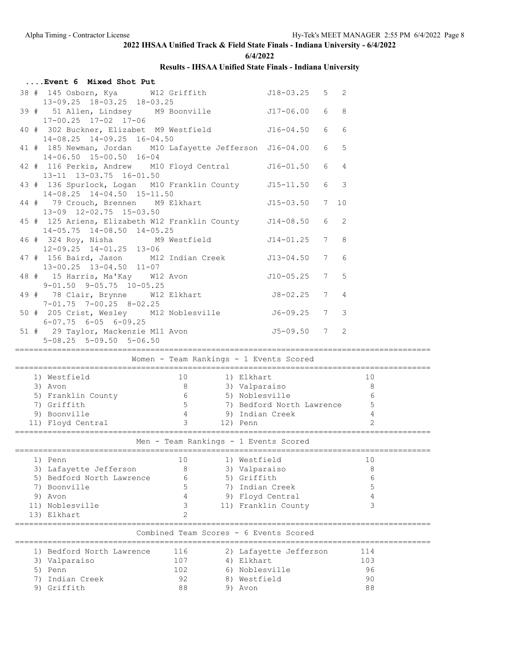**6/4/2022**

| Event 6 Mixed Shot Put                                                                                          |     |                                         |   |     |  |
|-----------------------------------------------------------------------------------------------------------------|-----|-----------------------------------------|---|-----|--|
| 38 # 145 Osborn, Kya M12 Griffith 518-03.25 5 2<br>13-09.25 18-03.25 18-03.25                                   |     |                                         |   |     |  |
| 39 # 51 Allen, Lindsey M9 Boonville 517-06.00 6 8<br>17-00.25 17-02 17-06                                       |     |                                         |   |     |  |
| 40 # 302 Buckner, Elizabet M9 Westfield 516-04.50 6<br>14-08.25 14-09.25 16-04.50                               |     |                                         | 6 |     |  |
| 41 # 185 Newman, Jordan M10 Lafayette Jefferson J16-04.00 6 5<br>$14-06.50$ $15-00.50$ $16-04$                  |     |                                         |   |     |  |
| 42 # 116 Perkis, Andrew M10 Floyd Central J16-01.50 6 4<br>13-11 13-03.75 16-01.50                              |     |                                         |   |     |  |
| 43 # 136 Spurlock, Logan M10 Franklin County J15-11.50 6 3<br>14-08.25 14-04.50 15-11.50                        |     |                                         |   |     |  |
| 44 # 79 Crouch, Brennen M9 Elkhart 115-03.50 7 10<br>13-09 12-02.75 15-03.50                                    |     |                                         |   |     |  |
| 45 # 125 Ariens, Elizabeth W12 Franklin County 514-08.50 6 2<br>14-05.75 14-08.50 14-05.25                      |     |                                         |   |     |  |
| 46 # 324 Roy, Nisha M9 Westfield 514-01.25 7 8<br>12-09.25 14-01.25 13-06                                       |     |                                         |   |     |  |
| 47 # 156 Baird, Jason M12 Indian Creek J13-04.50 7 6<br>13-00.25 13-04.50 11-07                                 |     |                                         |   |     |  |
| $9 - 01.50$ $9 - 05.75$ $10 - 05.25$                                                                            |     |                                         |   |     |  |
| 49 # 78 Clair, Brynne W12 Elkhart 18-02.25 7 4<br>$7-01.75$ $7-00.25$ $8-02.25$                                 |     |                                         |   |     |  |
| 50 # 205 Crist, Wesley M12 Noblesville<br>$6-07.75$ $6-05$ $6-09.25$                                            |     | $J6 - 09.25$ 7 3                        |   |     |  |
| $5-08.25$ $5-09.50$ $5-06.50$                                                                                   |     |                                         |   |     |  |
|                                                                                                                 |     | Women - Team Rankings - 1 Events Scored |   |     |  |
|                                                                                                                 |     |                                         |   |     |  |
|                                                                                                                 |     |                                         |   |     |  |
|                                                                                                                 |     |                                         |   |     |  |
|                                                                                                                 |     |                                         |   |     |  |
|                                                                                                                 |     |                                         |   |     |  |
|                                                                                                                 |     |                                         |   |     |  |
| 7) Griffith 5 7) Bedford North Lawrence 5<br>9) Boonville 4 9) Indian Creek 4<br>11) Floyd Central 3 12) Penn 2 |     |                                         |   |     |  |
| Men - Team Rankings - 1 Events Scored                                                                           |     |                                         |   |     |  |
|                                                                                                                 |     |                                         |   |     |  |
| 1) Penn                                                                                                         | 10  | 1) Westfield                            |   | 10  |  |
| 3) Lafayette Jefferson                                                                                          | 8   | 3) Valparaiso                           |   | 8   |  |
| 5) Bedford North Lawrence                                                                                       | 6   | 5) Griffith                             |   | 6   |  |
| 7) Boonville                                                                                                    | 5   | 7) Indian Creek                         |   | 5   |  |
| 9) Avon                                                                                                         | 4   | 9) Floyd Central                        |   | 4   |  |
| 11) Noblesville                                                                                                 | 3   | 11) Franklin County                     |   | 3   |  |
| 13) Elkhart                                                                                                     | 2   |                                         |   |     |  |
|                                                                                                                 |     | Combined Team Scores - 6 Events Scored  |   |     |  |
| 1) Bedford North Lawrence                                                                                       | 116 | 2) Lafayette Jefferson                  |   | 114 |  |
| 3) Valparaiso                                                                                                   | 107 | 4) Elkhart                              |   | 103 |  |
| 5) Penn                                                                                                         | 102 |                                         |   | 96  |  |
| Indian Creek<br>7)                                                                                              | 92  | 6) Noblesville<br>8) Westfield          |   | 90  |  |